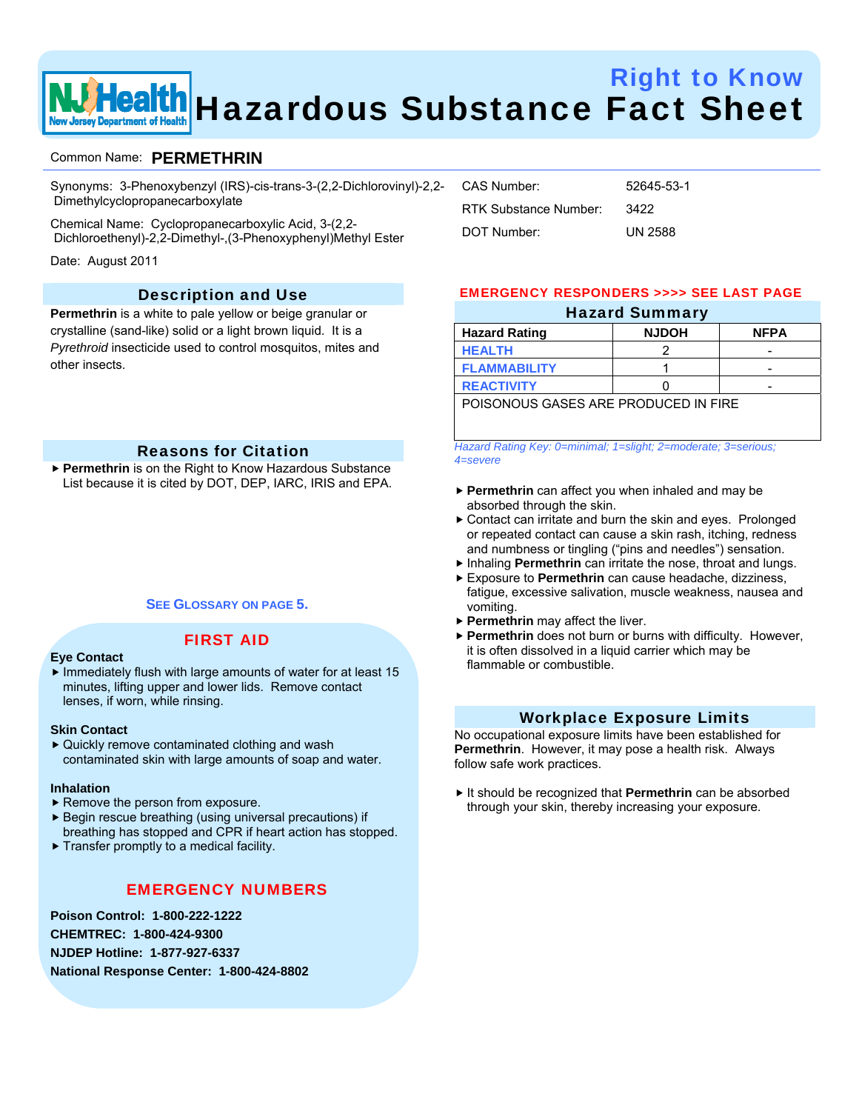

# Right to Know **tealth** Hazardous Substance Fact Sheet

### Common Name: **PERMETHRIN**

Synonyms: 3-Phenoxybenzyl (IRS)-cis-trans-3-(2,2-Dichlorovinyl)-2,2- Dimethylcyclopropanecarboxylate

Chemical Name: Cyclopropanecarboxylic Acid, 3-(2,2- Dichloroethenyl)-2,2-Dimethyl-,(3-Phenoxyphenyl)Methyl Ester

Date: August 2011

### Description and Use

**Permethrin** is a white to pale yellow or beige granular or crystalline (sand-like) solid or a light brown liquid. It is a *Pyrethroid* insecticide used to control mosquitos, mites and other insects.

### Reasons for Citation

**Permethrin** is on the Right to Know Hazardous Substance List because it is cited by DOT, DEP, IARC, IRIS and EPA.

#### **SEE GLOSSARY ON PAGE 5.**

## FIRST AID

#### **Eye Contact**

 $\blacktriangleright$  Immediately flush with large amounts of water for at least 15 minutes, lifting upper and lower lids. Remove contact lenses, if worn, while rinsing.

#### **Skin Contact**

 $\blacktriangleright$  Quickly remove contaminated clothing and wash contaminated skin with large amounts of soap and water.

#### **Inhalation**

- $\blacktriangleright$  Remove the person from exposure.
- $\blacktriangleright$  Begin rescue breathing (using universal precautions) if breathing has stopped and CPR if heart action has stopped.
- $\blacktriangleright$  Transfer promptly to a medical facility.

## EMERGENCY NUMBERS

**Poison Control: 1-800-222-1222 CHEMTREC: 1-800-424-9300 NJDEP Hotline: 1-877-927-6337 National Response Center: 1-800-424-8802** 

| CAS Number:           | 52645-53-1 |
|-----------------------|------------|
| RTK Substance Number: | 3422       |
| DOT Number:           | UN 2588    |

# EMERGENCY RESPONDERS >>>> SEE LAST PAGE

| <b>Hazard Summary</b> |              |             |
|-----------------------|--------------|-------------|
| <b>Hazard Rating</b>  | <b>NJDOH</b> | <b>NFPA</b> |
| <b>HEALTH</b>         |              |             |
| <b>FLAMMABILITY</b>   |              |             |
| <b>REACTIVITY</b>     |              |             |
|                       |              |             |

POISONOUS GASES ARE PRODUCED IN FIRE

*Hazard Rating Key: 0=minimal; 1=slight; 2=moderate; 3=serious; 4=severe*

- **Permethrin** can affect you when inhaled and may be absorbed through the skin.
- $\triangleright$  Contact can irritate and burn the skin and eyes. Prolonged or repeated contact can cause a skin rash, itching, redness and numbness or tingling ("pins and needles") sensation.
- **F** Inhaling **Permethrin** can irritate the nose, throat and lungs.
- **Exposure to Permethrin** can cause headache, dizziness, fatigue, excessive salivation, muscle weakness, nausea and vomiting.
- **Permethrin** may affect the liver.
- **Permethrin** does not burn or burns with difficulty. However, it is often dissolved in a liquid carrier which may be flammable or combustible.

#### Workplace Exposure Limits

No occupational exposure limits have been established for **Permethrin**. However, it may pose a health risk. Always follow safe work practices.

It should be recognized that **Permethrin** can be absorbed through your skin, thereby increasing your exposure.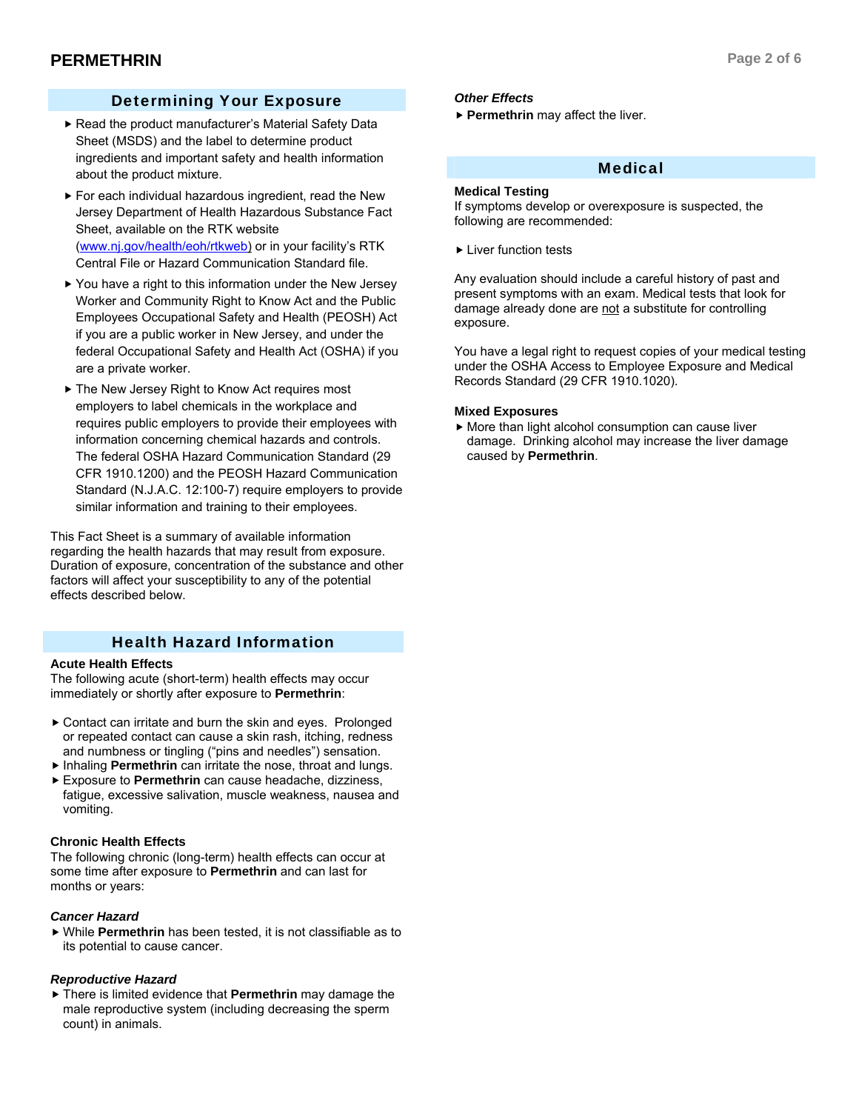# Determining Your Exposure

- Read the product manufacturer's Material Safety Data Sheet (MSDS) and the label to determine product ingredients and important safety and health information about the product mixture.
- $\blacktriangleright$  For each individual hazardous ingredient, read the New Jersey Department of Health Hazardous Substance Fact Sheet, available on the RTK website (www.nj.gov/health/eoh/rtkweb) or in your facility's RTK Central File or Hazard Communication Standard file.
- $\blacktriangleright$  You have a right to this information under the New Jersey Worker and Community Right to Know Act and the Public Employees Occupational Safety and Health (PEOSH) Act if you are a public worker in New Jersey, and under the federal Occupational Safety and Health Act (OSHA) if you are a private worker.
- ▶ The New Jersey Right to Know Act requires most employers to label chemicals in the workplace and requires public employers to provide their employees with information concerning chemical hazards and controls. The federal OSHA Hazard Communication Standard (29 CFR 1910.1200) and the PEOSH Hazard Communication Standard (N.J.A.C. 12:100-7) require employers to provide similar information and training to their employees.

This Fact Sheet is a summary of available information regarding the health hazards that may result from exposure. Duration of exposure, concentration of the substance and other factors will affect your susceptibility to any of the potential effects described below.

# Health Hazard Information

#### **Acute Health Effects**

The following acute (short-term) health effects may occur immediately or shortly after exposure to **Permethrin**:

- $\triangleright$  Contact can irritate and burn the skin and eyes. Prolonged or repeated contact can cause a skin rash, itching, redness and numbness or tingling ("pins and needles") sensation.
- **F** Inhaling **Permethrin** can irritate the nose, throat and lungs.
- **Exposure to Permethrin** can cause headache, dizziness, fatigue, excessive salivation, muscle weakness, nausea and vomiting.

#### **Chronic Health Effects**

The following chronic (long-term) health effects can occur at some time after exposure to **Permethrin** and can last for months or years:

#### *Cancer Hazard*

▶ While Permethrin has been tested, it is not classifiable as to its potential to cause cancer.

#### *Reproductive Hazard*

**Figure 12** Find There is limited evidence that **Permethrin** may damage the male reproductive system (including decreasing the sperm count) in animals.

#### *Other Effects*

**Permethrin** may affect the liver.

### Medical

#### **Medical Testing**

If symptoms develop or overexposure is suspected, the following are recommended:

 $\blacktriangleright$  Liver function tests

Any evaluation should include a careful history of past and present symptoms with an exam. Medical tests that look for damage already done are not a substitute for controlling exposure.

You have a legal right to request copies of your medical testing under the OSHA Access to Employee Exposure and Medical Records Standard (29 CFR 1910.1020).

#### **Mixed Exposures**

 $\blacktriangleright$  More than light alcohol consumption can cause liver damage. Drinking alcohol may increase the liver damage caused by **Permethrin**.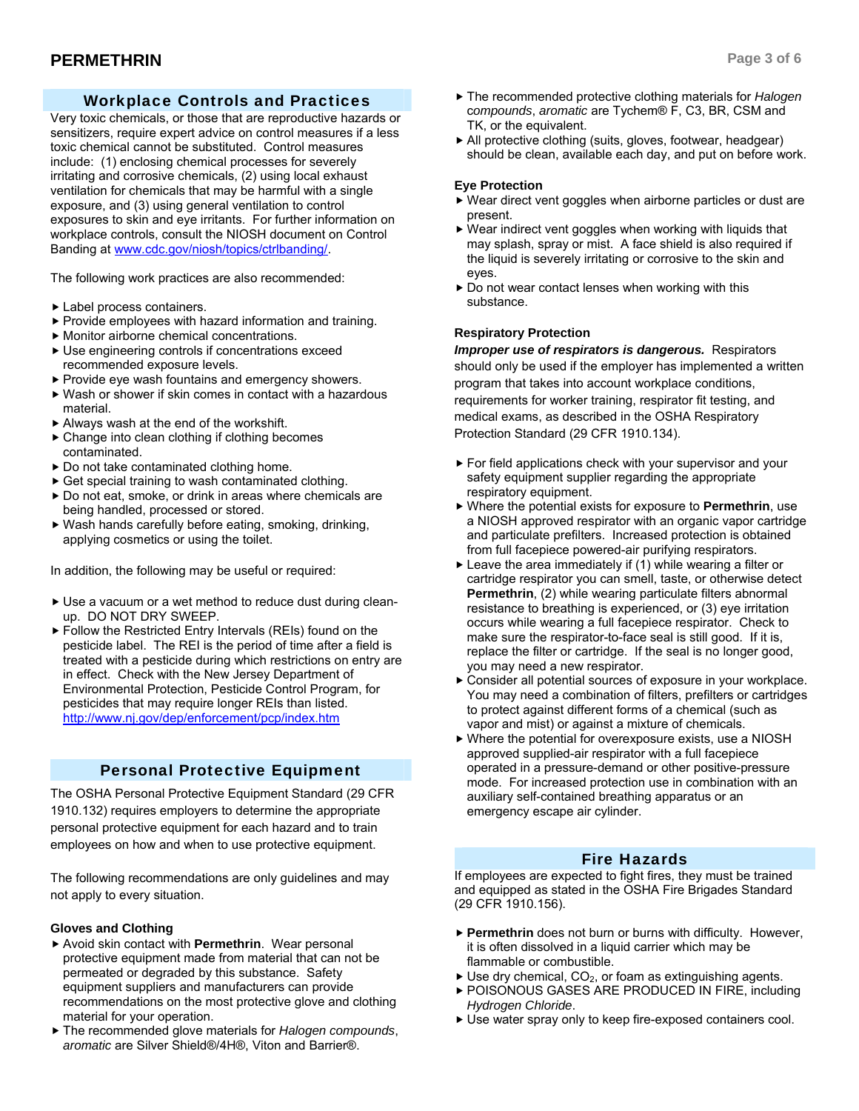# **PERMETHRIN** Page 3 of 6

# Workplace Controls and Practices

Very toxic chemicals, or those that are reproductive hazards or sensitizers, require expert advice on control measures if a less toxic chemical cannot be substituted. Control measures include: (1) enclosing chemical processes for severely irritating and corrosive chemicals, (2) using local exhaust ventilation for chemicals that may be harmful with a single exposure, and (3) using general ventilation to control exposures to skin and eye irritants. For further information on workplace controls, consult the NIOSH document on Control Banding at www.cdc.gov/niosh/topics/ctrlbanding/.

The following work practices are also recommended:

- $\blacktriangleright$  Label process containers.
- $\blacktriangleright$  Provide employees with hazard information and training.
- $\blacktriangleright$  Monitor airborne chemical concentrations.
- $\blacktriangleright$  Use engineering controls if concentrations exceed recommended exposure levels.
- $\blacktriangleright$  Provide eye wash fountains and emergency showers.
- $\blacktriangleright$  Wash or shower if skin comes in contact with a hazardous material.
- $\blacktriangleright$  Always wash at the end of the workshift.
- $\triangleright$  Change into clean clothing if clothing becomes contaminated.
- $\triangleright$  Do not take contaminated clothing home.
- $\blacktriangleright$  Get special training to wash contaminated clothing.
- $\triangleright$  Do not eat, smoke, or drink in areas where chemicals are being handled, processed or stored.
- $\blacktriangleright$  Wash hands carefully before eating, smoking, drinking, applying cosmetics or using the toilet.

In addition, the following may be useful or required:

- Use a vacuum or a wet method to reduce dust during cleanup. DO NOT DRY SWEEP.
- f Follow the Restricted Entry Intervals (REIs) found on the pesticide label. The REI is the period of time after a field is treated with a pesticide during which restrictions on entry are in effect. Check with the New Jersey Department of Environmental Protection, Pesticide Control Program, for pesticides that may require longer REIs than listed. http://www.nj.gov/dep/enforcement/pcp/index.htm

## Personal Protective Equipment

The OSHA Personal Protective Equipment Standard (29 CFR 1910.132) requires employers to determine the appropriate personal protective equipment for each hazard and to train employees on how and when to use protective equipment.

The following recommendations are only guidelines and may not apply to every situation.

#### **Gloves and Clothing**

- ▶ Avoid skin contact with **Permethrin**. Wear personal protective equipment made from material that can not be permeated or degraded by this substance. Safety equipment suppliers and manufacturers can provide recommendations on the most protective glove and clothing material for your operation.
- $\blacktriangleright$  The recommended glove materials for *Halogen compounds*, *aromatic* are Silver Shield®/4H®, Viton and Barrier®.
- **Figure The recommended protective clothing materials for** *Halogen* c*ompounds*, *aromatic* are Tychem® F, C3, BR, CSM and TK, or the equivalent.
- $\blacktriangleright$  All protective clothing (suits, gloves, footwear, headgear) should be clean, available each day, and put on before work.

#### **Eye Protection**

- $\blacktriangleright$  Wear direct vent goggles when airborne particles or dust are present.
- $\blacktriangleright$  Wear indirect vent goggles when working with liquids that may splash, spray or mist. A face shield is also required if the liquid is severely irritating or corrosive to the skin and eyes.
- $\triangleright$  Do not wear contact lenses when working with this substance.

#### **Respiratory Protection**

*Improper use of respirators is dangerous.* Respirators should only be used if the employer has implemented a written program that takes into account workplace conditions, requirements for worker training, respirator fit testing, and medical exams, as described in the OSHA Respiratory Protection Standard (29 CFR 1910.134).

- $\blacktriangleright$  For field applications check with your supervisor and your safety equipment supplier regarding the appropriate respiratory equipment.
- $\triangleright$  Where the potential exists for exposure to **Permethrin**, use a NIOSH approved respirator with an organic vapor cartridge and particulate prefilters. Increased protection is obtained from full facepiece powered-air purifying respirators.
- $\blacktriangleright$  Leave the area immediately if (1) while wearing a filter or cartridge respirator you can smell, taste, or otherwise detect **Permethrin**, (2) while wearing particulate filters abnormal resistance to breathing is experienced, or (3) eye irritation occurs while wearing a full facepiece respirator. Check to make sure the respirator-to-face seal is still good. If it is, replace the filter or cartridge. If the seal is no longer good, you may need a new respirator.
- $\triangleright$  Consider all potential sources of exposure in your workplace. You may need a combination of filters, prefilters or cartridges to protect against different forms of a chemical (such as vapor and mist) or against a mixture of chemicals.
- $\blacktriangleright$  Where the potential for overexposure exists, use a NIOSH approved supplied-air respirator with a full facepiece operated in a pressure-demand or other positive-pressure mode. For increased protection use in combination with an auxiliary self-contained breathing apparatus or an emergency escape air cylinder.

#### Fire Hazards

If employees are expected to fight fires, they must be trained and equipped as stated in the OSHA Fire Brigades Standard (29 CFR 1910.156).

- **Permethrin** does not burn or burns with difficulty. However, it is often dissolved in a liquid carrier which may be flammable or combustible.
- $\blacktriangleright$  Use dry chemical, CO<sub>2</sub>, or foam as extinguishing agents.
- **POISONOUS GASES ARE PRODUCED IN FIRE, including** *Hydrogen Chloride*.
- $\blacktriangleright$  Use water spray only to keep fire-exposed containers cool.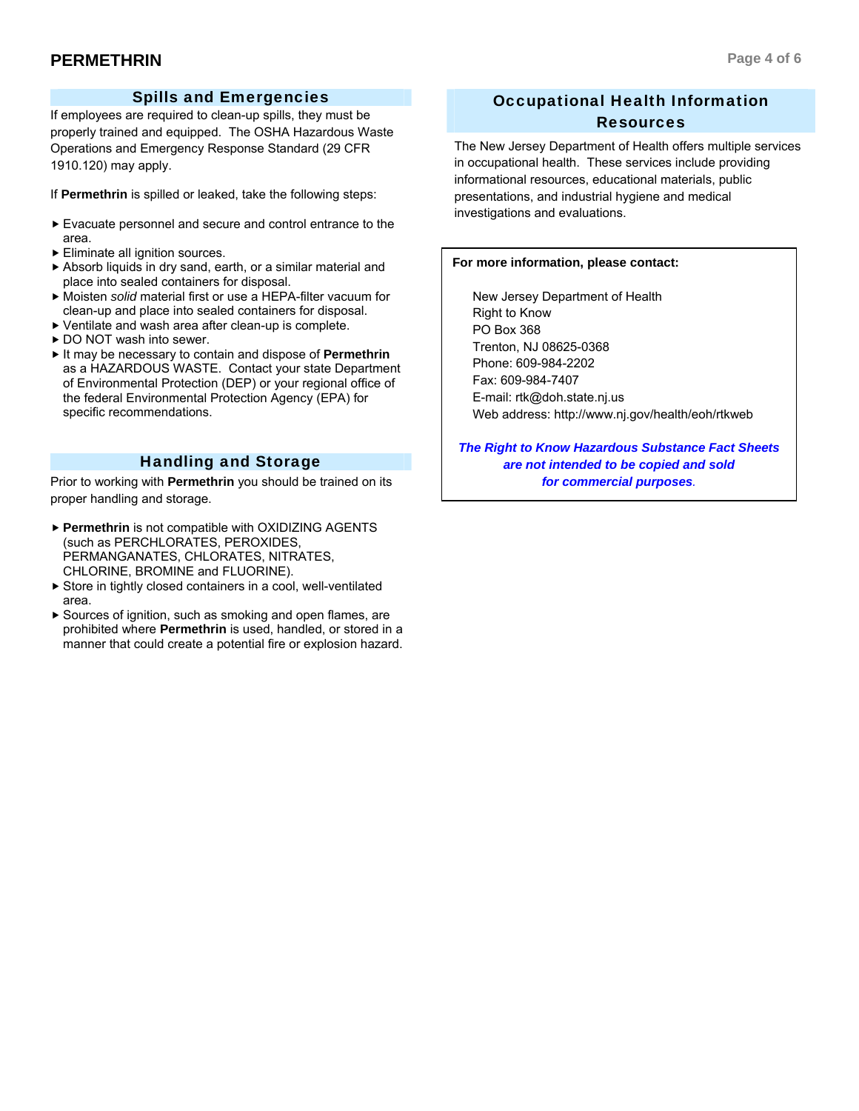# Spills and Emergencies

If employees are required to clean-up spills, they must be properly trained and equipped. The OSHA Hazardous Waste Operations and Emergency Response Standard (29 CFR 1910.120) may apply.

If **Permethrin** is spilled or leaked, take the following steps:

- $\blacktriangleright$  Evacuate personnel and secure and control entrance to the area.
- $\blacktriangleright$  Eliminate all ignition sources.
- $\blacktriangleright$  Absorb liquids in dry sand, earth, or a similar material and place into sealed containers for disposal.
- ▶ Moisten *solid* material first or use a HEPA-filter vacuum for clean-up and place into sealed containers for disposal.
- $\blacktriangleright$  Ventilate and wash area after clean-up is complete.
- ▶ DO NOT wash into sewer.
- $\blacktriangleright$  It may be necessary to contain and dispose of **Permethrin** as a HAZARDOUS WASTE. Contact your state Department of Environmental Protection (DEP) or your regional office of the federal Environmental Protection Agency (EPA) for specific recommendations.

# Handling and Storage

Prior to working with **Permethrin** you should be trained on its proper handling and storage.

- **Permethrin** is not compatible with OXIDIZING AGENTS (such as PERCHLORATES, PEROXIDES, PERMANGANATES, CHLORATES, NITRATES, CHLORINE, BROMINE and FLUORINE).
- $\triangleright$  Store in tightly closed containers in a cool, well-ventilated area.
- $\triangleright$  Sources of ignition, such as smoking and open flames, are prohibited where **Permethrin** is used, handled, or stored in a manner that could create a potential fire or explosion hazard.

# Occupational Health Information **Resources**

The New Jersey Department of Health offers multiple services in occupational health. These services include providing informational resources, educational materials, public presentations, and industrial hygiene and medical investigations and evaluations.

#### **For more information, please contact:**

 New Jersey Department of Health Right to Know PO Box 368 Trenton, NJ 08625-0368 Phone: 609-984-2202 Fax: 609-984-7407 E-mail: rtk@doh.state.nj.us Web address: http://www.nj.gov/health/eoh/rtkweb

*The Right to Know Hazardous Substance Fact Sheets are not intended to be copied and sold for commercial purposes.*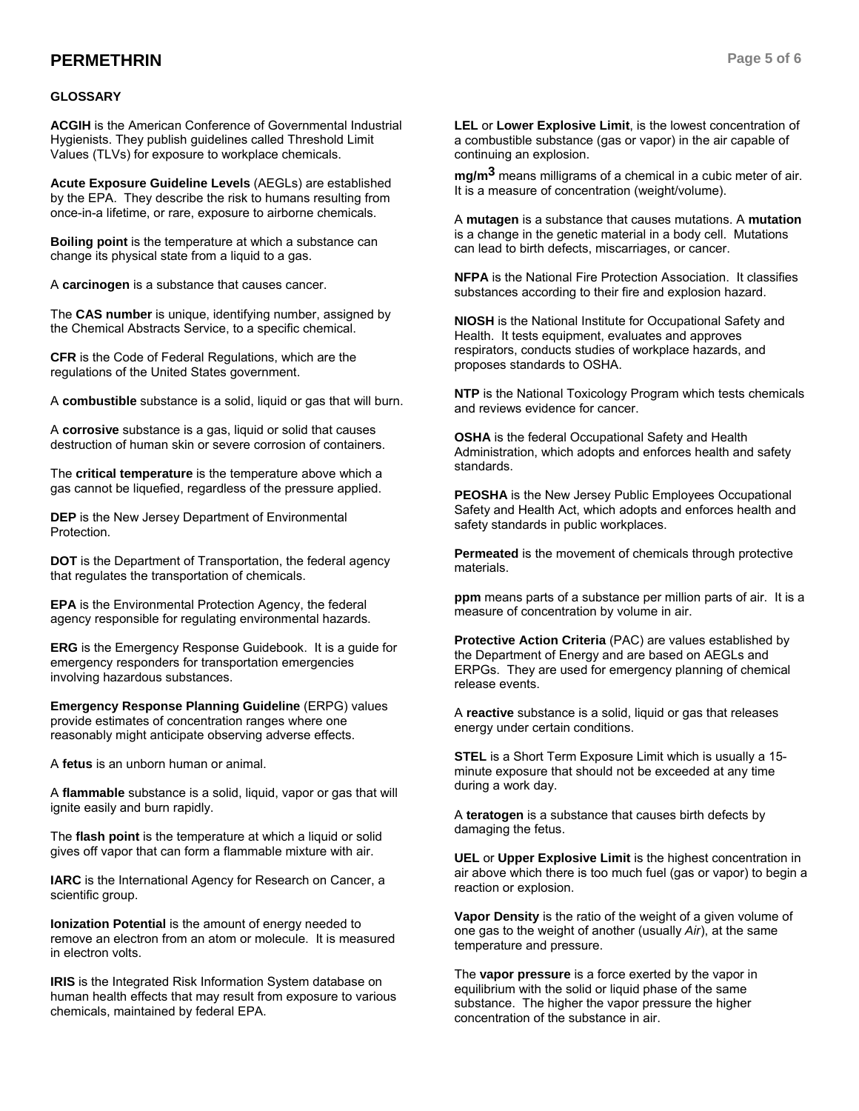# **PERMETHRIN** Page 5 of 6

#### **GLOSSARY**

**ACGIH** is the American Conference of Governmental Industrial Hygienists. They publish guidelines called Threshold Limit Values (TLVs) for exposure to workplace chemicals.

**Acute Exposure Guideline Levels** (AEGLs) are established by the EPA. They describe the risk to humans resulting from once-in-a lifetime, or rare, exposure to airborne chemicals.

**Boiling point** is the temperature at which a substance can change its physical state from a liquid to a gas.

A **carcinogen** is a substance that causes cancer.

The **CAS number** is unique, identifying number, assigned by the Chemical Abstracts Service, to a specific chemical.

**CFR** is the Code of Federal Regulations, which are the regulations of the United States government.

A **combustible** substance is a solid, liquid or gas that will burn.

A **corrosive** substance is a gas, liquid or solid that causes destruction of human skin or severe corrosion of containers.

The **critical temperature** is the temperature above which a gas cannot be liquefied, regardless of the pressure applied.

**DEP** is the New Jersey Department of Environmental Protection.

**DOT** is the Department of Transportation, the federal agency that regulates the transportation of chemicals.

**EPA** is the Environmental Protection Agency, the federal agency responsible for regulating environmental hazards.

**ERG** is the Emergency Response Guidebook. It is a guide for emergency responders for transportation emergencies involving hazardous substances.

**Emergency Response Planning Guideline** (ERPG) values provide estimates of concentration ranges where one reasonably might anticipate observing adverse effects.

A **fetus** is an unborn human or animal.

A **flammable** substance is a solid, liquid, vapor or gas that will ignite easily and burn rapidly.

The **flash point** is the temperature at which a liquid or solid gives off vapor that can form a flammable mixture with air.

**IARC** is the International Agency for Research on Cancer, a scientific group.

**Ionization Potential** is the amount of energy needed to remove an electron from an atom or molecule. It is measured in electron volts.

**IRIS** is the Integrated Risk Information System database on human health effects that may result from exposure to various chemicals, maintained by federal EPA.

**LEL** or **Lower Explosive Limit**, is the lowest concentration of a combustible substance (gas or vapor) in the air capable of continuing an explosion.

**mg/m3** means milligrams of a chemical in a cubic meter of air. It is a measure of concentration (weight/volume).

A **mutagen** is a substance that causes mutations. A **mutation** is a change in the genetic material in a body cell. Mutations can lead to birth defects, miscarriages, or cancer.

**NFPA** is the National Fire Protection Association. It classifies substances according to their fire and explosion hazard.

**NIOSH** is the National Institute for Occupational Safety and Health. It tests equipment, evaluates and approves respirators, conducts studies of workplace hazards, and proposes standards to OSHA.

**NTP** is the National Toxicology Program which tests chemicals and reviews evidence for cancer.

**OSHA** is the federal Occupational Safety and Health Administration, which adopts and enforces health and safety standards.

**PEOSHA** is the New Jersey Public Employees Occupational Safety and Health Act, which adopts and enforces health and safety standards in public workplaces.

**Permeated** is the movement of chemicals through protective materials.

**ppm** means parts of a substance per million parts of air. It is a measure of concentration by volume in air.

**Protective Action Criteria** (PAC) are values established by the Department of Energy and are based on AEGLs and ERPGs. They are used for emergency planning of chemical release events.

A **reactive** substance is a solid, liquid or gas that releases energy under certain conditions.

**STEL** is a Short Term Exposure Limit which is usually a 15 minute exposure that should not be exceeded at any time during a work day.

A **teratogen** is a substance that causes birth defects by damaging the fetus.

**UEL** or **Upper Explosive Limit** is the highest concentration in air above which there is too much fuel (gas or vapor) to begin a reaction or explosion.

**Vapor Density** is the ratio of the weight of a given volume of one gas to the weight of another (usually *Air*), at the same temperature and pressure.

The **vapor pressure** is a force exerted by the vapor in equilibrium with the solid or liquid phase of the same substance. The higher the vapor pressure the higher concentration of the substance in air.